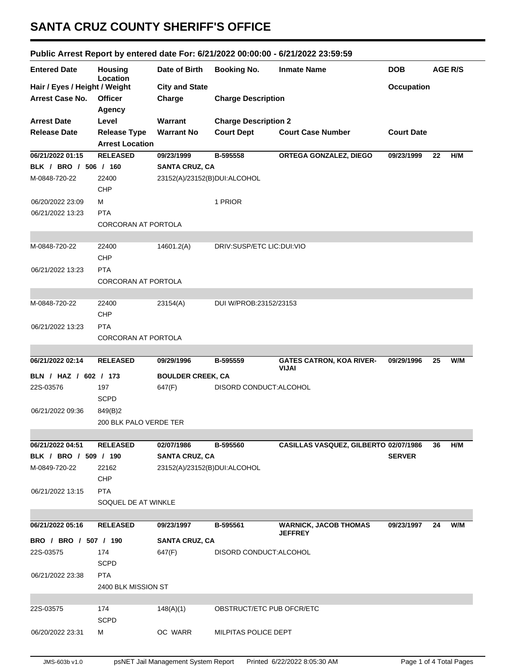## **SANTA CRUZ COUNTY SHERIFF'S OFFICE**

## **Public Arrest Report by entered date For: 6/21/2022 00:00:00 - 6/21/2022 23:59:59**

| <b>Entered Date</b>           | <b>Housing</b>             | Date of Birth                | <b>Booking No.</b>          | <b>Inmate Name</b>                       | <b>DOB</b>        |    | AGE R/S |
|-------------------------------|----------------------------|------------------------------|-----------------------------|------------------------------------------|-------------------|----|---------|
| Hair / Eyes / Height / Weight | Location                   | <b>City and State</b>        |                             |                                          | <b>Occupation</b> |    |         |
| <b>Arrest Case No.</b>        | <b>Officer</b>             | Charge                       | <b>Charge Description</b>   |                                          |                   |    |         |
|                               | Agency                     |                              |                             |                                          |                   |    |         |
| <b>Arrest Date</b>            | Level                      | Warrant                      | <b>Charge Description 2</b> |                                          |                   |    |         |
| <b>Release Date</b>           | <b>Release Type</b>        | <b>Warrant No</b>            | <b>Court Dept</b>           | <b>Court Case Number</b>                 | <b>Court Date</b> |    |         |
|                               | <b>Arrest Location</b>     |                              |                             |                                          |                   |    |         |
| 06/21/2022 01:15              | <b>RELEASED</b>            | 09/23/1999                   | B-595558                    | ORTEGA GONZALEZ, DIEGO                   | 09/23/1999        | 22 | H/M     |
| BLK / BRO / 506 / 160         |                            | <b>SANTA CRUZ, CA</b>        |                             |                                          |                   |    |         |
| M-0848-720-22                 | 22400                      | 23152(A)/23152(B)DUI:ALCOHOL |                             |                                          |                   |    |         |
|                               | CHP                        |                              |                             |                                          |                   |    |         |
| 06/20/2022 23:09              | М                          |                              | 1 PRIOR                     |                                          |                   |    |         |
| 06/21/2022 13:23              | <b>PTA</b>                 |                              |                             |                                          |                   |    |         |
|                               | <b>CORCORAN AT PORTOLA</b> |                              |                             |                                          |                   |    |         |
|                               |                            |                              |                             |                                          |                   |    |         |
| M-0848-720-22                 | 22400                      | 14601.2(A)                   | DRIV:SUSP/ETC LIC:DUI:VIO   |                                          |                   |    |         |
|                               | CHP                        |                              |                             |                                          |                   |    |         |
| 06/21/2022 13:23              | <b>PTA</b>                 |                              |                             |                                          |                   |    |         |
|                               | <b>CORCORAN AT PORTOLA</b> |                              |                             |                                          |                   |    |         |
|                               |                            |                              |                             |                                          |                   |    |         |
| M-0848-720-22                 | 22400                      | 23154(A)                     | DUI W/PROB:23152/23153      |                                          |                   |    |         |
|                               | CHP                        |                              |                             |                                          |                   |    |         |
| 06/21/2022 13:23              | <b>PTA</b>                 |                              |                             |                                          |                   |    |         |
|                               | CORCORAN AT PORTOLA        |                              |                             |                                          |                   |    |         |
|                               |                            |                              |                             |                                          |                   |    |         |
| 06/21/2022 02:14              | <b>RELEASED</b>            | 09/29/1996                   | B-595559                    | <b>GATES CATRON, KOA RIVER-</b><br>VIJAI | 09/29/1996        | 25 | W/M     |
| BLN / HAZ / 602 / 173         |                            | <b>BOULDER CREEK, CA</b>     |                             |                                          |                   |    |         |
| 22S-03576                     | 197                        | 647(F)                       | DISORD CONDUCT: ALCOHOL     |                                          |                   |    |         |
|                               | <b>SCPD</b>                |                              |                             |                                          |                   |    |         |
| 06/21/2022 09:36              |                            |                              |                             |                                          |                   |    |         |
|                               | 849(B)2                    |                              |                             |                                          |                   |    |         |
|                               | 200 BLK PALO VERDE TER     |                              |                             |                                          |                   |    |         |
|                               |                            |                              |                             |                                          |                   |    |         |
| 06/21/2022 04:51              | <b>RELEASED</b>            | 02/07/1986                   | B-595560                    | CASILLAS VASQUEZ, GILBERTO 02/07/1986    |                   | 36 | H/M     |
| BLK / BRO / 509 / 190         |                            | <b>SANTA CRUZ, CA</b>        |                             |                                          | <b>SERVER</b>     |    |         |
| M-0849-720-22                 | 22162                      | 23152(A)/23152(B)DUI:ALCOHOL |                             |                                          |                   |    |         |
|                               | <b>CHP</b>                 |                              |                             |                                          |                   |    |         |
| 06/21/2022 13:15              | <b>PTA</b>                 |                              |                             |                                          |                   |    |         |
|                               | SOQUEL DE AT WINKLE        |                              |                             |                                          |                   |    |         |
|                               |                            |                              |                             |                                          |                   |    |         |
| 06/21/2022 05:16              | <b>RELEASED</b>            | 09/23/1997                   | B-595561                    | <b>WARNICK, JACOB THOMAS</b>             | 09/23/1997        | 24 | W/M     |
| BRO / BRO / 507 / 190         |                            | <b>SANTA CRUZ, CA</b>        |                             | <b>JEFFREY</b>                           |                   |    |         |
| 22S-03575                     | 174                        | 647(F)                       | DISORD CONDUCT: ALCOHOL     |                                          |                   |    |         |
|                               | <b>SCPD</b>                |                              |                             |                                          |                   |    |         |
| 06/21/2022 23:38              | <b>PTA</b>                 |                              |                             |                                          |                   |    |         |
|                               | 2400 BLK MISSION ST        |                              |                             |                                          |                   |    |         |
|                               |                            |                              |                             |                                          |                   |    |         |
| 22S-03575                     | 174                        | 148(A)(1)                    | OBSTRUCT/ETC PUB OFCR/ETC   |                                          |                   |    |         |
|                               | <b>SCPD</b>                |                              |                             |                                          |                   |    |         |
| 06/20/2022 23:31              | М                          | OC WARR                      | MILPITAS POLICE DEPT        |                                          |                   |    |         |
|                               |                            |                              |                             |                                          |                   |    |         |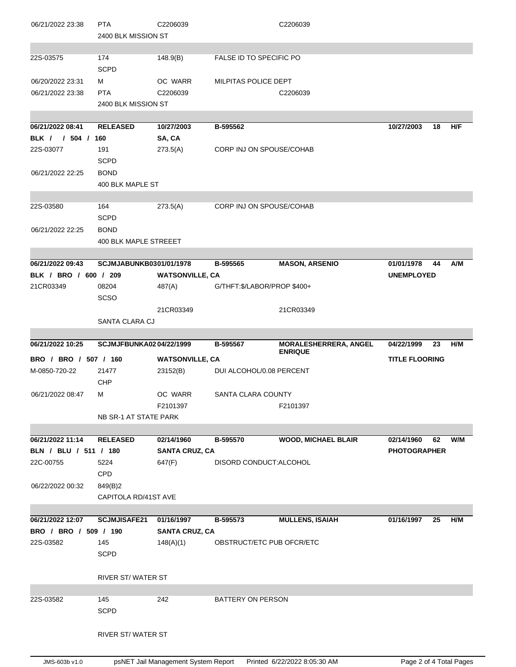| 06/21/2022 23:38      | <b>PTA</b><br>2400 BLK MISSION ST | C2206039               |                             | C2206039                                       |                       |     |
|-----------------------|-----------------------------------|------------------------|-----------------------------|------------------------------------------------|-----------------------|-----|
|                       |                                   |                        |                             |                                                |                       |     |
| 22S-03575             | 174<br><b>SCPD</b>                | 148.9(B)               | FALSE ID TO SPECIFIC PO     |                                                |                       |     |
| 06/20/2022 23:31      | м                                 | OC WARR                | MILPITAS POLICE DEPT        |                                                |                       |     |
| 06/21/2022 23:38      | <b>PTA</b>                        | C2206039               |                             | C2206039                                       |                       |     |
|                       | 2400 BLK MISSION ST               |                        |                             |                                                |                       |     |
|                       |                                   |                        |                             |                                                |                       |     |
| 06/21/2022 08:41      | <b>RELEASED</b>                   | 10/27/2003             | B-595562                    |                                                | 10/27/2003<br>18      | H/F |
| BLK / / 504 / 160     |                                   | SA, CA                 |                             |                                                |                       |     |
| 22S-03077             | 191                               | 273.5(A)               | CORP INJ ON SPOUSE/COHAB    |                                                |                       |     |
|                       | <b>SCPD</b>                       |                        |                             |                                                |                       |     |
| 06/21/2022 22:25      | <b>BOND</b>                       |                        |                             |                                                |                       |     |
|                       | 400 BLK MAPLE ST                  |                        |                             |                                                |                       |     |
| 22S-03580             | 164                               | 273.5(A)               | CORP INJ ON SPOUSE/COHAB    |                                                |                       |     |
|                       | <b>SCPD</b>                       |                        |                             |                                                |                       |     |
| 06/21/2022 22:25      | <b>BOND</b>                       |                        |                             |                                                |                       |     |
|                       | <b>400 BLK MAPLE STREEET</b>      |                        |                             |                                                |                       |     |
|                       |                                   |                        |                             |                                                |                       |     |
| 06/21/2022 09:43      | <b>SCJMJABUNKB0301/01/1978</b>    |                        | B-595565                    | <b>MASON, ARSENIO</b>                          | 01/01/1978<br>44      | A/M |
| BLK / BRO / 600 / 209 |                                   | <b>WATSONVILLE, CA</b> |                             |                                                | <b>UNEMPLOYED</b>     |     |
| 21CR03349             | 08204                             | 487(A)                 | G/THFT:\$/LABOR/PROP \$400+ |                                                |                       |     |
|                       | <b>SCSO</b>                       |                        |                             |                                                |                       |     |
|                       |                                   | 21CR03349              |                             | 21CR03349                                      |                       |     |
|                       | SANTA CLARA CJ                    |                        |                             |                                                |                       |     |
|                       |                                   |                        |                             |                                                |                       |     |
|                       |                                   |                        |                             |                                                |                       |     |
| 06/21/2022 10:25      | SCJMJFBUNKA0204/22/1999           |                        | B-595567                    | <b>MORALESHERRERA, ANGEL</b><br><b>ENRIQUE</b> | 04/22/1999<br>23      | H/M |
| BRO / BRO / 507 / 160 |                                   | <b>WATSONVILLE, CA</b> |                             |                                                | <b>TITLE FLOORING</b> |     |
| M-0850-720-22         | 21477                             | 23152(B)               | DUI ALCOHOL/0.08 PERCENT    |                                                |                       |     |
|                       | CHP                               |                        |                             |                                                |                       |     |
| 06/21/2022 08:47      | М                                 | OC WARR                | SANTA CLARA COUNTY          |                                                |                       |     |
|                       | NB SR-1 AT STATE PARK             | F2101397               |                             | F2101397                                       |                       |     |
|                       |                                   |                        |                             |                                                |                       |     |
| 06/21/2022 11:14      | <b>RELEASED</b>                   | 02/14/1960             | B-595570                    | <b>WOOD, MICHAEL BLAIR</b>                     | 02/14/1960<br>62      | W/M |
| BLN / BLU / 511 / 180 |                                   | <b>SANTA CRUZ, CA</b>  |                             |                                                | <b>PHOTOGRAPHER</b>   |     |
| 22C-00755             | 5224                              | 647(F)                 | DISORD CONDUCT: ALCOHOL     |                                                |                       |     |
|                       | <b>CPD</b>                        |                        |                             |                                                |                       |     |
| 06/22/2022 00:32      | 849(B)2                           |                        |                             |                                                |                       |     |
|                       | CAPITOLA RD/41ST AVE              |                        |                             |                                                |                       |     |
|                       |                                   |                        |                             |                                                |                       |     |
| 06/21/2022 12:07      | <b>SCJMJISAFE21</b>               | 01/16/1997             | B-595573                    | <b>MULLENS, ISAIAH</b>                         | 01/16/1997<br>25      | H/M |
| BRO / BRO / 509 / 190 |                                   | <b>SANTA CRUZ, CA</b>  |                             |                                                |                       |     |
| 22S-03582             | 145                               | 148(A)(1)              | OBSTRUCT/ETC PUB OFCR/ETC   |                                                |                       |     |
|                       | <b>SCPD</b>                       |                        |                             |                                                |                       |     |
|                       | RIVER ST/WATER ST                 |                        |                             |                                                |                       |     |
|                       |                                   |                        |                             |                                                |                       |     |
| 22S-03582             | 145                               | 242                    | BATTERY ON PERSON           |                                                |                       |     |
|                       | <b>SCPD</b>                       |                        |                             |                                                |                       |     |
|                       | <b>RIVER ST/WATER ST</b>          |                        |                             |                                                |                       |     |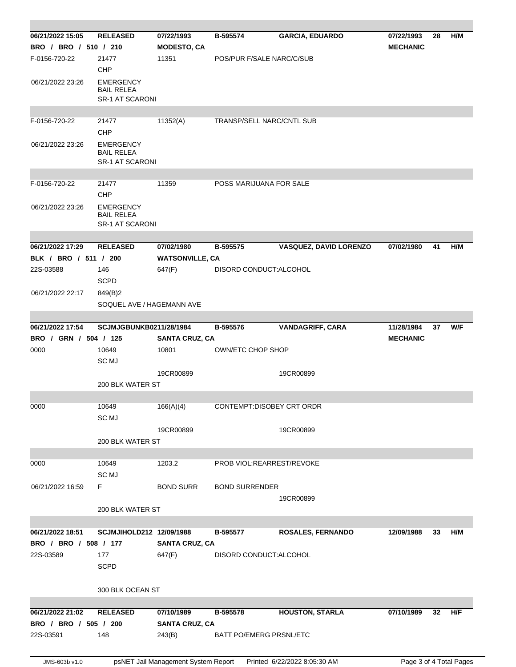| 06/21/2022 15:05      | <b>RELEASED</b>                                                 | 07/22/1993             | B-595574                         | <b>GARCIA, EDUARDO</b>        | 07/22/1993      | 28 | H/M |  |  |  |
|-----------------------|-----------------------------------------------------------------|------------------------|----------------------------------|-------------------------------|-----------------|----|-----|--|--|--|
| BRO / BRO / 510 / 210 |                                                                 | <b>MODESTO, CA</b>     |                                  |                               | <b>MECHANIC</b> |    |     |  |  |  |
| F-0156-720-22         | 21477                                                           | 11351                  | POS/PUR F/SALE NARC/C/SUB        |                               |                 |    |     |  |  |  |
|                       | <b>CHP</b>                                                      |                        |                                  |                               |                 |    |     |  |  |  |
| 06/21/2022 23:26      | <b>EMERGENCY</b><br><b>BAIL RELEA</b><br><b>SR-1 AT SCARONI</b> |                        |                                  |                               |                 |    |     |  |  |  |
|                       |                                                                 |                        |                                  |                               |                 |    |     |  |  |  |
| F-0156-720-22         | 21477                                                           | 11352(A)               | <b>TRANSP/SELL NARC/CNTL SUB</b> |                               |                 |    |     |  |  |  |
|                       | <b>CHP</b>                                                      |                        |                                  |                               |                 |    |     |  |  |  |
| 06/21/2022 23:26      | <b>EMERGENCY</b><br><b>BAIL RELEA</b><br><b>SR-1 AT SCARONI</b> |                        |                                  |                               |                 |    |     |  |  |  |
|                       |                                                                 |                        |                                  |                               |                 |    |     |  |  |  |
| F-0156-720-22         | 21477<br><b>CHP</b>                                             | 11359                  | POSS MARIJUANA FOR SALE          |                               |                 |    |     |  |  |  |
| 06/21/2022 23:26      | <b>EMERGENCY</b><br><b>BAIL RELEA</b><br><b>SR-1 AT SCARONI</b> |                        |                                  |                               |                 |    |     |  |  |  |
|                       |                                                                 |                        |                                  |                               |                 |    |     |  |  |  |
| 06/21/2022 17:29      | <b>RELEASED</b>                                                 | 07/02/1980             | B-595575                         | <b>VASQUEZ, DAVID LORENZO</b> | 07/02/1980      | 41 | H/M |  |  |  |
| BLK / BRO / 511 / 200 |                                                                 | <b>WATSONVILLE, CA</b> |                                  |                               |                 |    |     |  |  |  |
| 22S-03588             | 146                                                             | 647(F)                 | DISORD CONDUCT: ALCOHOL          |                               |                 |    |     |  |  |  |
|                       | <b>SCPD</b>                                                     |                        |                                  |                               |                 |    |     |  |  |  |
| 06/21/2022 22:17      | 849(B)2                                                         |                        |                                  |                               |                 |    |     |  |  |  |
|                       | SOQUEL AVE / HAGEMANN AVE                                       |                        |                                  |                               |                 |    |     |  |  |  |
|                       |                                                                 |                        |                                  |                               |                 |    |     |  |  |  |
| 06/21/2022 17:54      | <b>SCJMJGBUNKB0211/28/1984</b>                                  |                        | B-595576                         | <b>VANDAGRIFF, CARA</b>       | 11/28/1984      | 37 | W/F |  |  |  |
| BRO / GRN / 504 / 125 |                                                                 | <b>SANTA CRUZ, CA</b>  |                                  |                               | <b>MECHANIC</b> |    |     |  |  |  |
| 0000                  | 10649                                                           | 10801                  | OWN/ETC CHOP SHOP                |                               |                 |    |     |  |  |  |
|                       | SC MJ                                                           |                        |                                  |                               |                 |    |     |  |  |  |
|                       | 200 BLK WATER ST                                                | 19CR00899              |                                  | 19CR00899                     |                 |    |     |  |  |  |
|                       |                                                                 |                        |                                  |                               |                 |    |     |  |  |  |
| 0000                  | 10649                                                           | 166(A)(4)              | CONTEMPT:DISOBEY CRT ORDR        |                               |                 |    |     |  |  |  |
|                       | SC MJ                                                           |                        |                                  |                               |                 |    |     |  |  |  |
|                       |                                                                 | 19CR00899              |                                  | 19CR00899                     |                 |    |     |  |  |  |
|                       | 200 BLK WATER ST                                                |                        |                                  |                               |                 |    |     |  |  |  |
|                       |                                                                 |                        |                                  |                               |                 |    |     |  |  |  |
| 0000                  | 10649                                                           | 1203.2                 | PROB VIOL:REARREST/REVOKE        |                               |                 |    |     |  |  |  |
|                       | SC MJ                                                           |                        |                                  |                               |                 |    |     |  |  |  |
| 06/21/2022 16:59      | F.                                                              | <b>BOND SURR</b>       | <b>BOND SURRENDER</b>            |                               |                 |    |     |  |  |  |
|                       | 19CR00899                                                       |                        |                                  |                               |                 |    |     |  |  |  |
|                       | 200 BLK WATER ST                                                |                        |                                  |                               |                 |    |     |  |  |  |
|                       |                                                                 |                        |                                  |                               |                 |    |     |  |  |  |
| 06/21/2022 18:51      | SCJMJIHOLD212 12/09/1988                                        |                        | B-595577                         | <b>ROSALES, FERNANDO</b>      | 12/09/1988      | 33 | H/M |  |  |  |
| BRO / BRO / 508 / 177 |                                                                 | <b>SANTA CRUZ, CA</b>  |                                  |                               |                 |    |     |  |  |  |
| 22S-03589             | 177                                                             | 647(F)                 | DISORD CONDUCT:ALCOHOL           |                               |                 |    |     |  |  |  |
|                       | <b>SCPD</b>                                                     |                        |                                  |                               |                 |    |     |  |  |  |
|                       | 300 BLK OCEAN ST                                                |                        |                                  |                               |                 |    |     |  |  |  |
|                       |                                                                 |                        |                                  |                               |                 |    |     |  |  |  |
| 06/21/2022 21:02      | <b>RELEASED</b>                                                 | 07/10/1989             | B-595578                         | <b>HOUSTON, STARLA</b>        | 07/10/1989      | 32 | H/F |  |  |  |
| BRO / BRO / 505 / 200 |                                                                 | <b>SANTA CRUZ, CA</b>  |                                  |                               |                 |    |     |  |  |  |
| 22S-03591             | 148                                                             | 243(B)                 | BATT PO/EMERG PRSNL/ETC          |                               |                 |    |     |  |  |  |
|                       |                                                                 |                        |                                  |                               |                 |    |     |  |  |  |
|                       |                                                                 |                        |                                  |                               |                 |    |     |  |  |  |